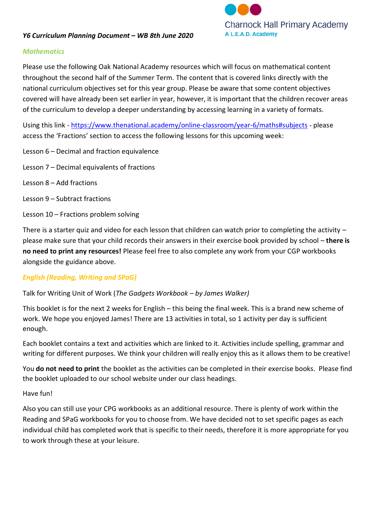

#### *Y6 Curriculum Planning Document – WB 8th June 2020*

#### *Mathematics*

Please use the following Oak National Academy resources which will focus on mathematical content throughout the second half of the Summer Term. The content that is covered links directly with the national curriculum objectives set for this year group. Please be aware that some content objectives covered will have already been set earlier in year, however, it is important that the children recover areas of the curriculum to develop a deeper understanding by accessing learning in a variety of formats.

Using this link - <https://www.thenational.academy/online-classroom/year-6/maths#subjects> - please access the 'Fractions' section to access the following lessons for this upcoming week:

- Lesson 6 Decimal and fraction equivalence
- Lesson 7 Decimal equivalents of fractions
- Lesson 8 Add fractions
- Lesson 9 Subtract fractions
- Lesson 10 Fractions problem solving

There is a starter quiz and video for each lesson that children can watch prior to completing the activity  $$ please make sure that your child records their answers in their exercise book provided by school – **there is no need to print any resources!** Please feel free to also complete any work from your CGP workbooks alongside the guidance above.

#### *English (Reading, Writing and SPaG)*

#### Talk for Writing Unit of Work (*The Gadgets Workbook – by James Walker)*

This booklet is for the next 2 weeks for English – this being the final week. This is a brand new scheme of work. We hope you enjoyed James! There are 13 activities in total, so 1 activity per day is sufficient enough.

Each booklet contains a text and activities which are linked to it. Activities include spelling, grammar and writing for different purposes. We think your children will really enjoy this as it allows them to be creative!

You **do not need to print** the booklet as the activities can be completed in their exercise books. Please find the booklet uploaded to our school website under our class headings.

#### Have fun!

Also you can still use your CPG workbooks as an additional resource. There is plenty of work within the Reading and SPaG workbooks for you to choose from. We have decided not to set specific pages as each individual child has completed work that is specific to their needs, therefore it is more appropriate for you to work through these at your leisure.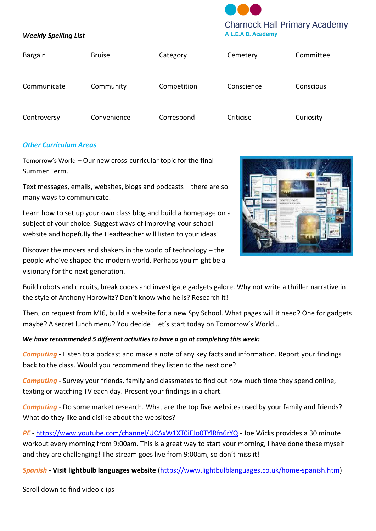# **Charnock Hall Primary Academy** A L.E.A.D. Academy

#### *Weekly Spelling List*

| <b>Bargain</b> | <b>Bruise</b> | Category    | Cemetery   | Committee |
|----------------|---------------|-------------|------------|-----------|
| Communicate    | Community     | Competition | Conscience | Conscious |
| Controversy    | Convenience   | Correspond  | Criticise  | Curiosity |

### *Other Curriculum Areas*

Tomorrow's World – Our new cross-curricular topic for the final Summer Term.

Text messages, emails, websites, blogs and podcasts – there are so many ways to communicate.

Learn how to set up your own class blog and build a homepage on a subject of your choice. Suggest ways of improving your school website and hopefully the Headteacher will listen to your ideas!

Discover the movers and shakers in the world of technology – the people who've shaped the modern world. Perhaps you might be a visionary for the next generation.



Build robots and circuits, break codes and investigate gadgets galore. Why not write a thriller narrative in the style of Anthony Horowitz? Don't know who he is? Research it!

Then, on request from MI6, build a website for a new Spy School. What pages will it need? One for gadgets maybe? A secret lunch menu? You decide! Let's start today on Tomorrow's World…

#### *We have recommended 5 different activities to have a go at completing this week:*

*Computing* - Listen to a podcast and make a note of any key facts and information. Report your findings back to the class. Would you recommend they listen to the next one?

*Computing* - Survey your friends, family and classmates to find out how much time they spend online, texting or watching TV each day. Present your findings in a chart.

*Computing* - Do some market research. What are the top five websites used by your family and friends? What do they like and dislike about the websites?

*PE* - <https://www.youtube.com/channel/UCAxW1XT0iEJo0TYlRfn6rYQ> - Joe Wicks provides a 30 minute workout every morning from 9:00am. This is a great way to start your morning, I have done these myself and they are challenging! The stream goes live from 9:00am, so don't miss it!

*Spanish* - **Visit lightbulb languages website** [\(https://www.lightbulblanguages.co.uk/home-spanish.htm\)](https://www.lightbulblanguages.co.uk/home-spanish.htm)

Scroll down to find video clips